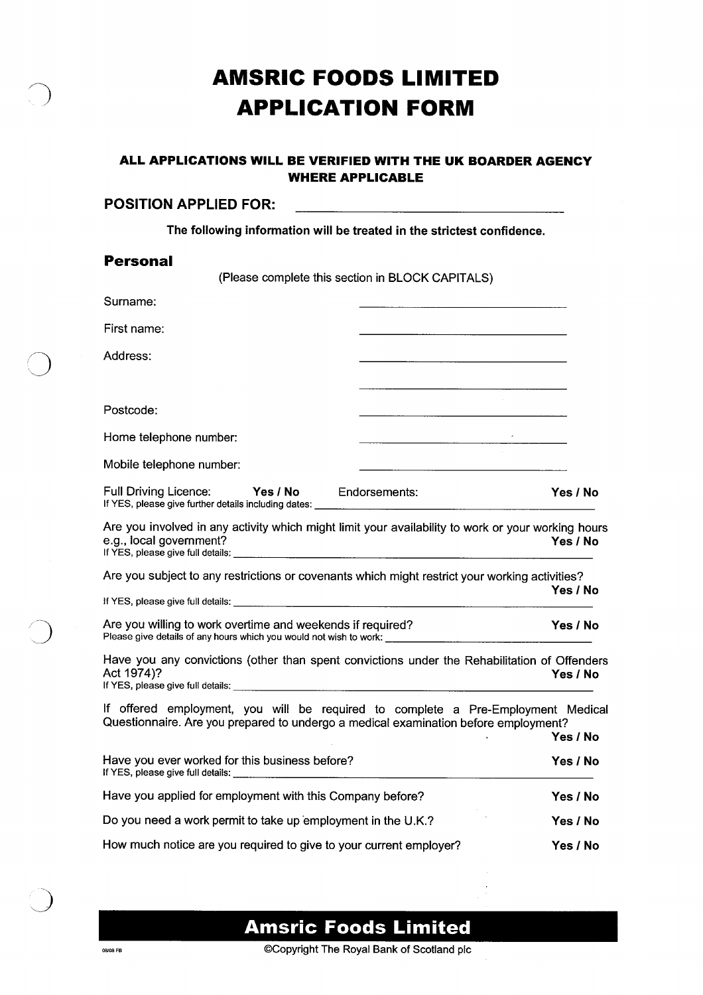# **AMSRIC FOODS LIMITED APPLICATION FORM**

#### **ALL APPLICATIONS WILL BE VERIFIED WITH THE UK BOARDER AGENCY WHERE APPLICABLE**

# **POSITION APPLIED FOR: The following information will be treated in the strictest confidence. Personal**  (Please complete this section in BLOCK CAPITALS) Surname: First name: Address: Postcode: Home telephone number: Mobile telephone number: Full Driving Licence: **Yes / No** Endorsements: **Yes / No**  If YES, please give further details including dates: Are you involved in any activity which might limit your availability to work or your working hours e.g., local government? **Yes / No**  If YES, please give full details: Are you subject to any restrictions or covenants which might restrict your working activities? **Yes/No**  If YES, please give full details: Are you willing to work overtime and weekends if required? **Yes / No**  Please give details of any hours which you would not wish to work: Have you any convictions (other than spent convictions under the Rehabilitation of Offenders<br>Act 1974)?<br>No Act 1974)? **Yes / No**  If YES, please give full details: If offered employment, you will be required to complete a Pre-Employment Medical

Questionnaire. Are you prepared to undergo a medical examination before employment? **Yes / No**  Have you ever worked for this business before? **Yes / No**  If YES, please give full details: Have you applied for employment with this Company before? **Yes/No**  Do you need a work permit to take up employment in the U.K.? **Yes/No**  How much notice are you required to give to your current employer? **Yes/No** 

**Amsric Foods Limited** 

OBORE FR OCOPYRIGHT The Royal Bank of Scotland plc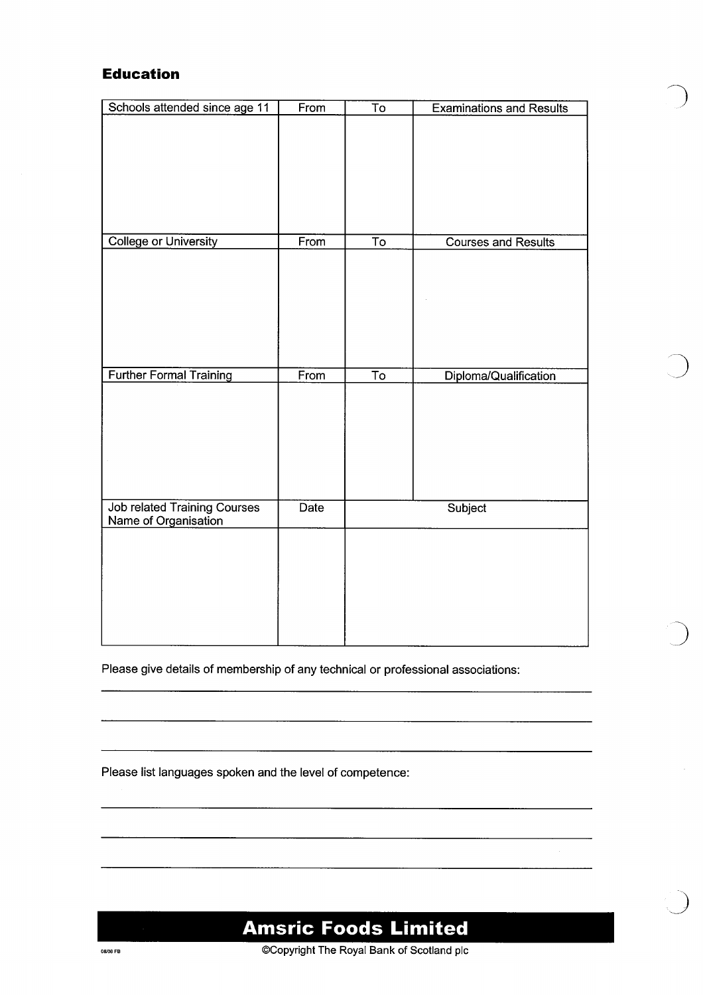## **Education**

| From | $\overline{\text{To}}$ | <b>Examinations and Results</b>                                        |
|------|------------------------|------------------------------------------------------------------------|
|      |                        |                                                                        |
|      |                        |                                                                        |
|      |                        |                                                                        |
|      |                        |                                                                        |
|      |                        |                                                                        |
|      |                        |                                                                        |
|      |                        |                                                                        |
|      |                        | <b>Courses and Results</b>                                             |
|      |                        |                                                                        |
|      |                        |                                                                        |
|      |                        |                                                                        |
|      |                        |                                                                        |
|      |                        |                                                                        |
|      |                        |                                                                        |
|      |                        | Diploma/Qualification                                                  |
|      |                        |                                                                        |
|      |                        |                                                                        |
|      |                        |                                                                        |
|      |                        |                                                                        |
|      |                        |                                                                        |
|      |                        |                                                                        |
|      |                        |                                                                        |
|      |                        | Subject                                                                |
|      |                        |                                                                        |
|      |                        |                                                                        |
|      |                        |                                                                        |
|      |                        |                                                                        |
|      |                        |                                                                        |
|      |                        |                                                                        |
|      |                        |                                                                        |
|      | From<br>From<br>Date   | $\overline{\mathsf{T}}\mathsf{o}$<br>$\overline{\mathsf{T}}\mathsf{o}$ |

Please give details of membership of any technical or professional associations:

Please list languages spoken and the level of competence:



# **Amsric Foods Limited**

OCOPYTIGHT The Royal Bank of Scotland plc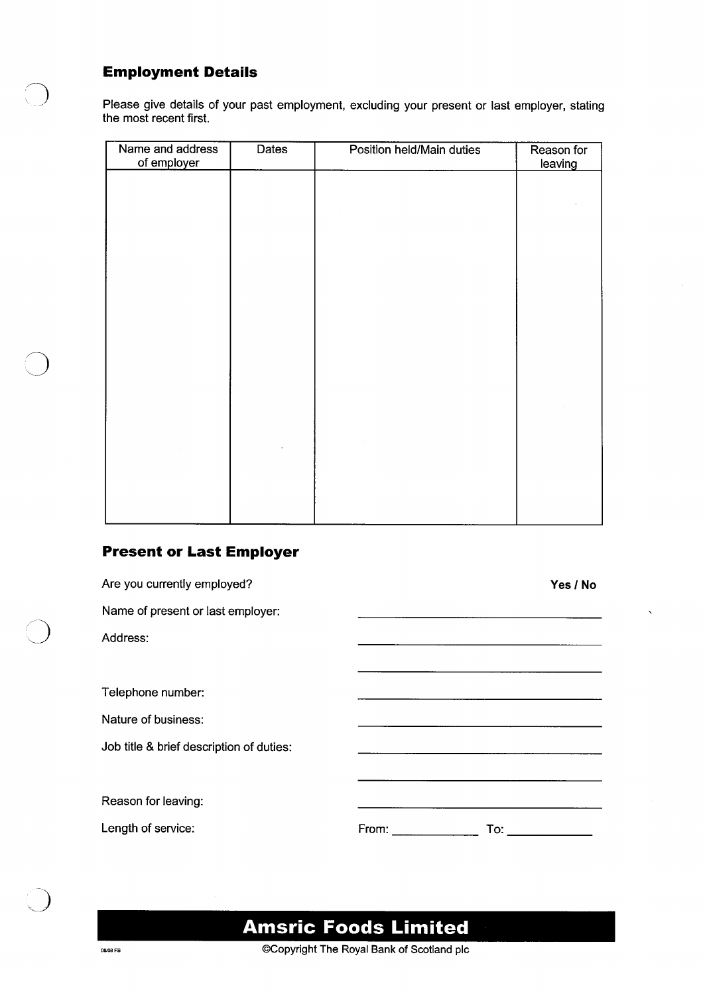### **Employment Details**

Please give details of your past employment, excluding your present or last employer, stating the most recent first.

| <b>Dates</b> | Position held/Main duties | Reason for<br>leaving |
|--------------|---------------------------|-----------------------|
|              |                           |                       |
|              |                           |                       |
|              |                           |                       |
|              |                           |                       |
|              |                           |                       |
|              |                           |                       |
|              |                           |                       |
|              |                           |                       |
|              |                           |                       |
|              |                           |                       |
|              |                           |                       |
|              |                           |                       |
|              |                           |                       |

## **Present or Last Employer**

| Are you currently employed?              |       | Yes / No |
|------------------------------------------|-------|----------|
| Name of present or last employer:        |       |          |
| Address:                                 |       |          |
|                                          |       |          |
| Telephone number:                        |       |          |
| Nature of business:                      |       |          |
| Job title & brief description of duties: |       |          |
|                                          |       |          |
| Reason for leaving:                      |       |          |
| Length of service:                       | From: | To:      |

# **Amsric Foods Limited**

**OCOPYTIGHT The Royal Bank of Scotland plc**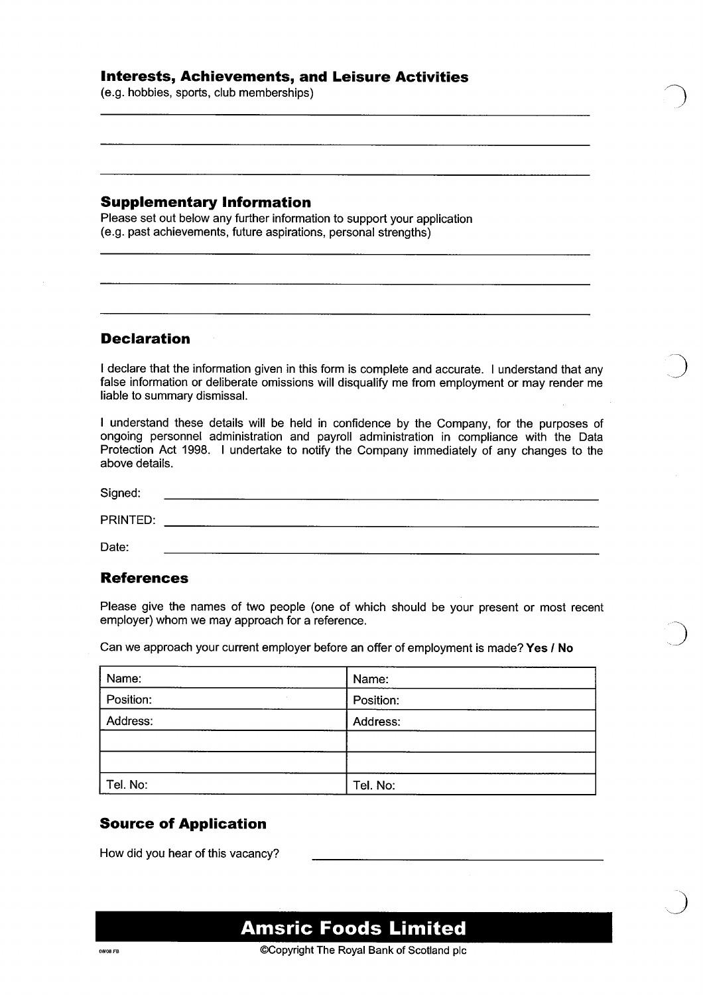#### **Interests, Achievements, and Leisure Activities**

(e.g. hobbies, sports, club memberships)

#### **Supplementary Information**

Please set out below any further information to support your application (e.g. past achievements, future aspirations, personal strengths)

#### **Declaration**

I declare that the information given in this form is complete and accurate. I understand that any false information or deliberate omissions will disqualify me from employment or may render me liable to summary dismissal.

I understand these details will be held in confidence by the Company, for the purposes of ongoing personnel administration and payroll administration in compliance with the Data Protection Act 1998. I undertake to notify the Company immediately of any changes to the above details.

Signed: PRINTED: Date:

#### **References**

Please give the names of two people (one of which should be your present or most recent employer) whom we may approach for a reference.

Can we approach your current employer before an offer of employment is made? **Yes / No** 

| Name:     | Name:     |  |
|-----------|-----------|--|
| Position: | Position: |  |
| Address:  | Address:  |  |
|           |           |  |
|           |           |  |
| Tel. No:  | Tel. No:  |  |

### **Source of Application**

How did you hear of this vacancy?

**Amsric Foods Limited**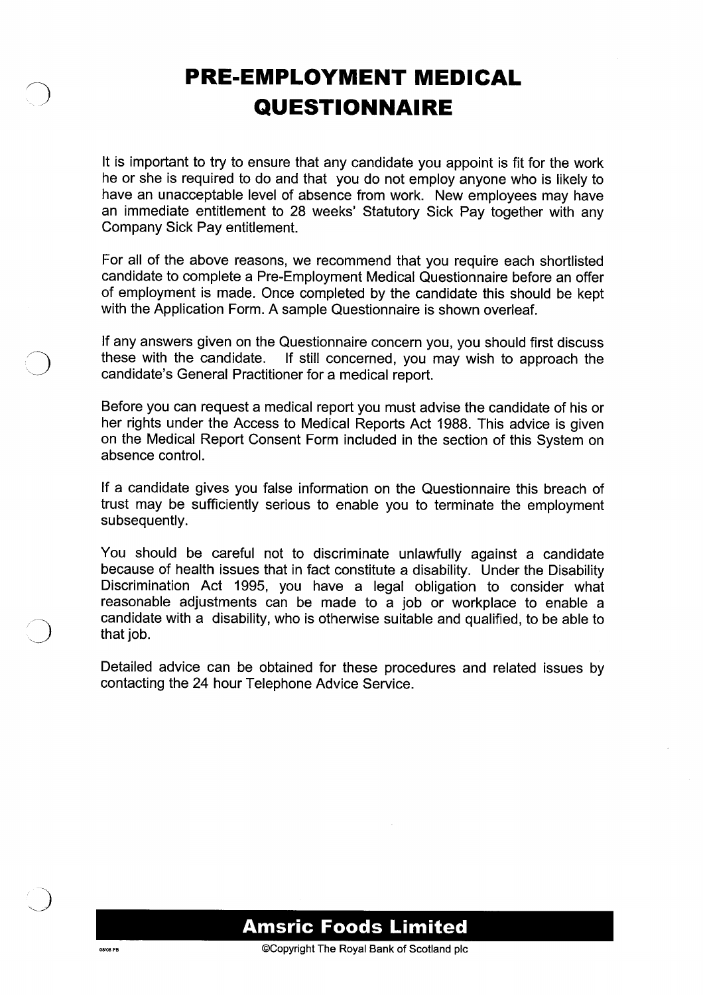# **PRE-EMPLOYMENT MEDICAL QUESTIONNAIRE**

It is important to try to ensure that any candidate you appoint is fit for the work he or she is required to do and that you do not employ anyone who is likely to have an unacceptable level of absence from work. New employees may have an immediate entitlement to 28 weeks' Statutory Sick Pay together with any Company Sick Pay entitlement.

For all of the above reasons, we recommend that you require each shortlisted candidate to complete a Pre-Employment Medical Questionnaire before an offer of employment is made. Once completed by the candidate this should be kept with the Application Form. A sample Questionnaire is shown overleaf.

If any answers given on the Questionnaire concern you, you should first discuss these with the candidate. If still concerned, you may wish to approach the If still concerned, you may wish to approach the candidate's General Practitioner for a medical report.

Before you can request a medical report you must advise the candidate of his or her rights under the Access to Medical Reports Act 1988. This advice is given on the Medical Report Consent Form included in the section of this System on absence control.

If a candidate gives you false information on the Questionnaire this breach of trust may be sufficiently serious to enable you to terminate the employment subsequently.

You should be careful not to discriminate unlawfully against a candidate because of health issues that in fact constitute a disability. Under the Disability Discrimination Act 1995, you have a legal obligation to consider what reasonable adjustments can be made to a job or workplace to enable a candidate with a disability, who is otherwise suitable and qualified, to be able to that job.

Detailed advice can be obtained for these procedures and related issues by contacting the 24 hour Telephone Advice Service.



OBO8FB **COPYRIGHT The Royal Bank of Scotland plc**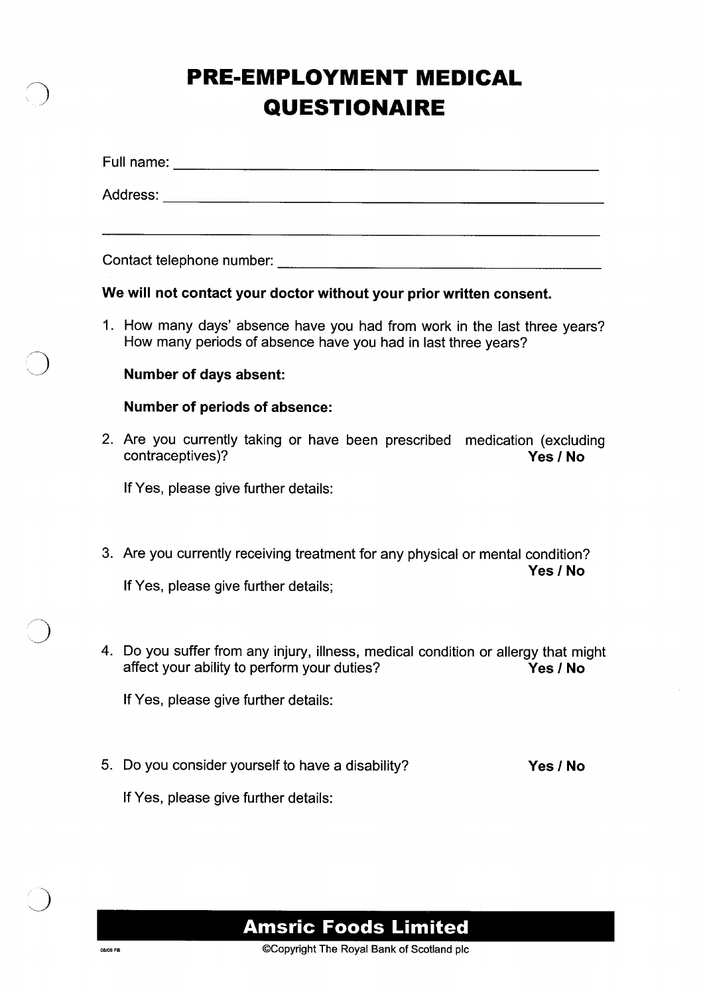# **n PRE-EMPLOYMENT MEDICAL QUESTIONAIRE**

|    | We will not contact your doctor without your prior written consent.                                                                        |          |
|----|--------------------------------------------------------------------------------------------------------------------------------------------|----------|
|    | 1. How many days' absence have you had from work in the last three years?<br>How many periods of absence have you had in last three years? |          |
|    | <b>Number of days absent:</b>                                                                                                              |          |
|    | <b>Number of periods of absence:</b>                                                                                                       |          |
|    | 2. Are you currently taking or have been prescribed medication (excluding<br>contraceptives)?                                              | Yes / No |
|    | If Yes, please give further details:                                                                                                       |          |
|    | 3. Are you currently receiving treatment for any physical or mental condition?                                                             | Yes / No |
|    | If Yes, please give further details;                                                                                                       |          |
|    | 4. Do you suffer from any injury, illness, medical condition or allergy that might<br>affect your ability to perform your duties?          | Yes / No |
|    | If Yes, please give further details:                                                                                                       |          |
| 5. | Do you consider yourself to have a disability?                                                                                             | Yes / No |
|    | If Yes, please give further details:                                                                                                       |          |

**Amsric Foods Limited**